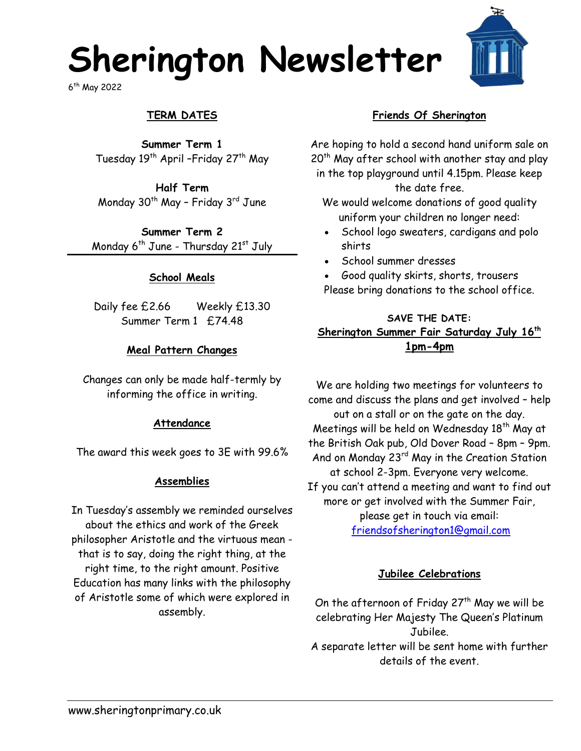# **Sherington Newsletter**

6 th May 2022

# **TERM DATES**

**Summer Term 1** Tuesday 19<sup>th</sup> April –Friday 27<sup>th</sup> May

**Half Term** Monday  $30<sup>th</sup>$  May - Friday  $3<sup>rd</sup>$  June

**Summer Term 2** Monday  $6^{th}$  June - Thursday  $21^{st}$  July

### **School Meals**

Daily fee £2.66 Weekly £13.30 Summer Term 1 £74.48

### **Meal Pattern Changes**

Changes can only be made half-termly by informing the office in writing.

### **Attendance**

The award this week goes to 3E with 99.6%

### **Assemblies**

In Tuesday's assembly we reminded ourselves about the ethics and work of the Greek philosopher Aristotle and the virtuous mean that is to say, doing the right thing, at the right time, to the right amount. Positive Education has many links with the philosophy of Aristotle some of which were explored in assembly.

### **Friends Of Sherington**

Are hoping to hold a second hand uniform sale on 20<sup>th</sup> May after school with another stay and play in the top playground until 4.15pm. Please keep the date free.

We would welcome donations of good quality uniform your children no longer need:

- School logo sweaters, cardigans and polo shirts
- School summer dresses

 Good quality skirts, shorts, trousers Please bring donations to the school office.

### **SAVE THE DATE: Sherington Summer Fair Saturday July 16th 1pm-4pm**

We are holding two meetings for volunteers to come and discuss the plans and get involved – help out on a stall or on the gate on the day. Meetings will be held on Wednesday  $18<sup>th</sup>$  May at the British Oak pub, Old Dover Road – 8pm – 9pm. And on Monday 23rd May in the Creation Station at school 2-3pm. Everyone very welcome. If you can't attend a meeting and want to find out more or get involved with the Summer Fair, please get in touch via email: [friendsofsherington1@gmail.com](mailto:friendsofsherington1@gmail.com)

### **Jubilee Celebrations**

On the afternoon of Friday  $27<sup>th</sup>$  May we will be celebrating Her Majesty The Queen's Platinum Jubilee. A separate letter will be sent home with further details of the event.